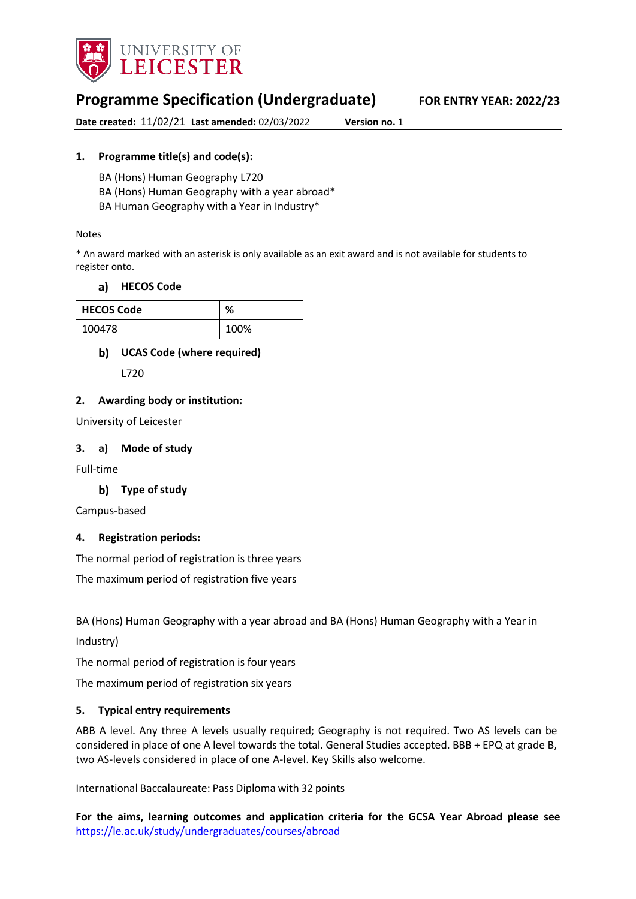

# **Programme Specification (Undergraduate) FOR ENTRY YEAR: 2022/23**

**Date created:** 11/02/21 **Last amended:** 02/03/2022 **Version no.** 1

## **1. Programme title(s) and code(s):**

BA (Hons) Human Geography L720

BA (Hons) Human Geography with a year abroad\*

BA Human Geography with a Year in Industry\*

### Notes

\* An award marked with an asterisk is only available as an exit award and is not available for students to register onto.

## **[HECOS Code](https://www.hesa.ac.uk/innovation/hecos)**

| <b>HECOS Code</b> | %    |
|-------------------|------|
| 100478            | 100% |

## **UCAS Code (where required)**

L720

## **2. Awarding body or institution:**

University of Leicester

### **3. a) Mode of study**

Full-time

## **Type of study**

Campus-based

## **4. Registration periods:**

The normal period of registration is three years

The maximum period of registration five years

BA (Hons) Human Geography with a year abroad and BA (Hons) Human Geography with a Year in

Industry)

The normal period of registration is four years

The maximum period of registration six years

#### **5. Typical entry requirements**

ABB A level. Any three A levels usually required; Geography is not required. Two AS levels can be considered in place of one A level towards the total. General Studies accepted. BBB + EPQ at grade B, two AS-levels considered in place of one A-level. Key Skills also welcome.

International Baccalaureate: Pass Diploma with 32 points

**For the aims, learning outcomes and application criteria for the GCSA Year Abroad please see**  <https://le.ac.uk/study/undergraduates/courses/abroad>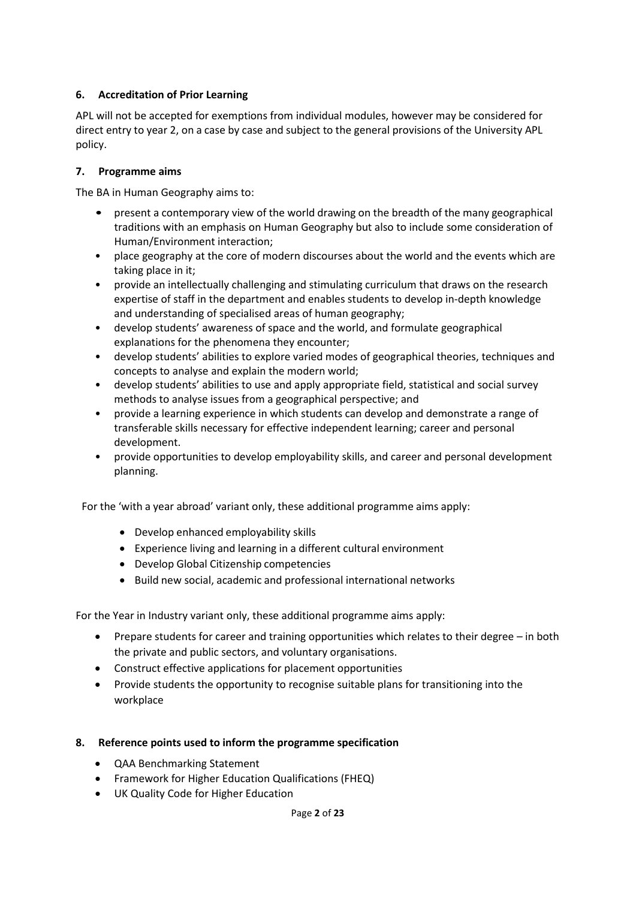## **6. Accreditation of Prior Learning**

APL will not be accepted for exemptions from individual modules, however may be considered for direct entry to year 2, on a case by case and subject to the general provisions of the University APL policy.

## **7. Programme aims**

The BA in Human Geography aims to:

- present a contemporary view of the world drawing on the breadth of the many geographical traditions with an emphasis on Human Geography but also to include some consideration of Human/Environment interaction;
- place geography at the core of modern discourses about the world and the events which are taking place in it;
- provide an intellectually challenging and stimulating curriculum that draws on the research expertise of staff in the department and enables students to develop in-depth knowledge and understanding of specialised areas of human geography;
- develop students' awareness of space and the world, and formulate geographical explanations for the phenomena they encounter;
- develop students' abilities to explore varied modes of geographical theories, techniques and concepts to analyse and explain the modern world;
- develop students' abilities to use and apply appropriate field, statistical and social survey methods to analyse issues from a geographical perspective; and
- provide a learning experience in which students can develop and demonstrate a range of transferable skills necessary for effective independent learning; career and personal development.
- provide opportunities to develop employability skills, and career and personal development planning.

For the 'with a year abroad' variant only, these additional programme aims apply:

- Develop enhanced employability skills
- Experience living and learning in a different cultural environment
- Develop Global Citizenship competencies
- Build new social, academic and professional international networks

For the Year in Industry variant only, these additional programme aims apply:

- Prepare students for career and training opportunities which relates to their degree in both the private and public sectors, and voluntary organisations.
- Construct effective applications for placement opportunities
- Provide students the opportunity to recognise suitable plans for transitioning into the workplace

## **8. Reference points used to inform the programme specification**

- QAA Benchmarking Statement
- Framework for Higher Education Qualifications (FHEQ)
- UK Quality Code for Higher Education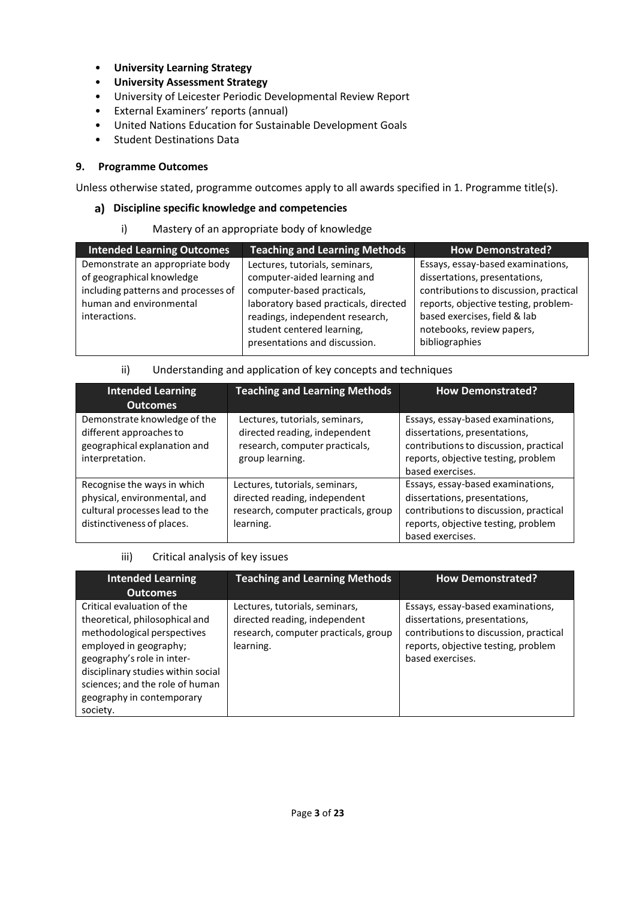- **University Learnin[g Strategy](https://www2.le.ac.uk/offices/sas2/quality/learnteach)**
- **[University Assessment Strategy](https://www2.le.ac.uk/offices/sas2/quality/learnteach)**
- University of Leicester Periodic Developmental Review Report
- External Examiners' reports (annual)
- United Nations Education for Sustainable Development Goals
- Student Destinations Data

## **9. Programme Outcomes**

Unless otherwise stated, programme outcomes apply to all awards specified in 1. Programme title(s).

## **Discipline specific knowledge and competencies**

i) Mastery of an appropriate body of knowledge

| <b>Intended Learning Outcomes</b>                                                                                                               | <b>Teaching and Learning Methods</b>                                                                                                                                                                                                   | <b>How Demonstrated?</b>                                                                                                                                                                                                            |
|-------------------------------------------------------------------------------------------------------------------------------------------------|----------------------------------------------------------------------------------------------------------------------------------------------------------------------------------------------------------------------------------------|-------------------------------------------------------------------------------------------------------------------------------------------------------------------------------------------------------------------------------------|
| Demonstrate an appropriate body<br>of geographical knowledge<br>including patterns and processes of<br>human and environmental<br>interactions. | Lectures, tutorials, seminars,<br>computer-aided learning and<br>computer-based practicals,<br>laboratory based practicals, directed<br>readings, independent research,<br>student centered learning,<br>presentations and discussion. | Essays, essay-based examinations,<br>dissertations, presentations,<br>contributions to discussion, practical<br>reports, objective testing, problem-<br>based exercises, field & lab<br>notebooks, review papers,<br>bibliographies |

## ii) Understanding and application of key concepts and techniques

| <b>Intended Learning</b>                                                                                                    | <b>Teaching and Learning Methods</b>                                                                                 | <b>How Demonstrated?</b>                                                                                                                                                |
|-----------------------------------------------------------------------------------------------------------------------------|----------------------------------------------------------------------------------------------------------------------|-------------------------------------------------------------------------------------------------------------------------------------------------------------------------|
| <b>Outcomes</b>                                                                                                             |                                                                                                                      |                                                                                                                                                                         |
| Demonstrate knowledge of the<br>different approaches to<br>geographical explanation and<br>interpretation.                  | Lectures, tutorials, seminars,<br>directed reading, independent<br>research, computer practicals,<br>group learning. | Essays, essay-based examinations,<br>dissertations, presentations,<br>contributions to discussion, practical<br>reports, objective testing, problem<br>based exercises. |
| Recognise the ways in which<br>physical, environmental, and<br>cultural processes lead to the<br>distinctiveness of places. | Lectures, tutorials, seminars,<br>directed reading, independent<br>research, computer practicals, group<br>learning. | Essays, essay-based examinations,<br>dissertations, presentations,<br>contributions to discussion, practical<br>reports, objective testing, problem<br>based exercises. |

## iii) Critical analysis of key issues

| <b>Intended Learning</b><br><b>Outcomes</b>                                                                                                                                                                                                                           | <b>Teaching and Learning Methods</b>                                                                                 | <b>How Demonstrated?</b>                                                                                                                                                |
|-----------------------------------------------------------------------------------------------------------------------------------------------------------------------------------------------------------------------------------------------------------------------|----------------------------------------------------------------------------------------------------------------------|-------------------------------------------------------------------------------------------------------------------------------------------------------------------------|
| Critical evaluation of the<br>theoretical, philosophical and<br>methodological perspectives<br>employed in geography;<br>geography's role in inter-<br>disciplinary studies within social<br>sciences; and the role of human<br>geography in contemporary<br>society. | Lectures, tutorials, seminars,<br>directed reading, independent<br>research, computer practicals, group<br>learning. | Essays, essay-based examinations,<br>dissertations, presentations,<br>contributions to discussion, practical<br>reports, objective testing, problem<br>based exercises. |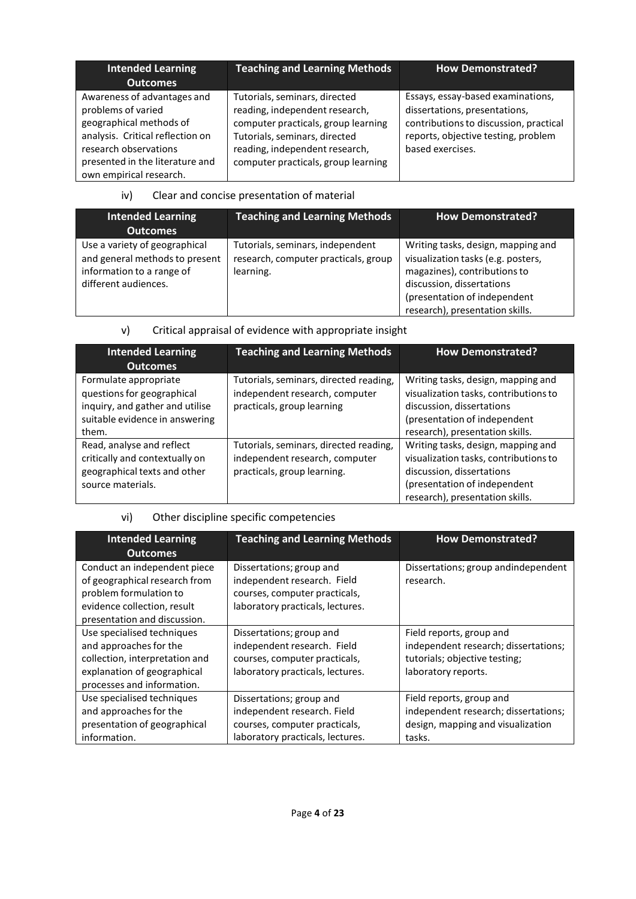| <b>Intended Learning</b><br><b>Outcomes</b>                                                                                                                                                             | <b>Teaching and Learning Methods</b>                                                                                                                                                                             | <b>How Demonstrated?</b>                                                                                                                                                |
|---------------------------------------------------------------------------------------------------------------------------------------------------------------------------------------------------------|------------------------------------------------------------------------------------------------------------------------------------------------------------------------------------------------------------------|-------------------------------------------------------------------------------------------------------------------------------------------------------------------------|
| Awareness of advantages and<br>problems of varied<br>geographical methods of<br>analysis. Critical reflection on<br>research observations<br>presented in the literature and<br>own empirical research. | Tutorials, seminars, directed<br>reading, independent research,<br>computer practicals, group learning<br>Tutorials, seminars, directed<br>reading, independent research,<br>computer practicals, group learning | Essays, essay-based examinations,<br>dissertations, presentations,<br>contributions to discussion, practical<br>reports, objective testing, problem<br>based exercises. |

## iv) Clear and concise presentation of material

| <b>Intended Learning</b><br><b>Outcomes</b>                                                                          | <b>Teaching and Learning Methods</b>                                                  | How Demonstrated?                                                                                                                                                                                        |
|----------------------------------------------------------------------------------------------------------------------|---------------------------------------------------------------------------------------|----------------------------------------------------------------------------------------------------------------------------------------------------------------------------------------------------------|
| Use a variety of geographical<br>and general methods to present<br>information to a range of<br>different audiences. | Tutorials, seminars, independent<br>research, computer practicals, group<br>learning. | Writing tasks, design, mapping and<br>visualization tasks (e.g. posters,<br>magazines), contributions to<br>discussion, dissertations<br>(presentation of independent<br>research), presentation skills. |

## v) Critical appraisal of evidence with appropriate insight

| <b>Intended Learning</b><br><b>Outcomes</b>                                                                                       | <b>Teaching and Learning Methods</b>                                                                    | <b>How Demonstrated?</b>                                                                                                                                                    |
|-----------------------------------------------------------------------------------------------------------------------------------|---------------------------------------------------------------------------------------------------------|-----------------------------------------------------------------------------------------------------------------------------------------------------------------------------|
| Formulate appropriate<br>questions for geographical<br>inquiry, and gather and utilise<br>suitable evidence in answering<br>them. | Tutorials, seminars, directed reading,<br>independent research, computer<br>practicals, group learning  | Writing tasks, design, mapping and<br>visualization tasks, contributions to<br>discussion, dissertations<br>(presentation of independent<br>research), presentation skills. |
| Read, analyse and reflect<br>critically and contextually on<br>geographical texts and other<br>source materials.                  | Tutorials, seminars, directed reading,<br>independent research, computer<br>practicals, group learning. | Writing tasks, design, mapping and<br>visualization tasks, contributions to<br>discussion, dissertations<br>(presentation of independent<br>research), presentation skills. |

## vi) Other discipline specific competencies

| <b>Intended Learning</b><br><b>Outcomes</b>                                                                                                            | <b>Teaching and Learning Methods</b>                                                                                         | <b>How Demonstrated?</b>                                                                                                 |
|--------------------------------------------------------------------------------------------------------------------------------------------------------|------------------------------------------------------------------------------------------------------------------------------|--------------------------------------------------------------------------------------------------------------------------|
| Conduct an independent piece<br>of geographical research from<br>problem formulation to<br>evidence collection, result<br>presentation and discussion. | Dissertations; group and<br>independent research. Field<br>courses, computer practicals,<br>laboratory practicals, lectures. | Dissertations; group andindependent<br>research.                                                                         |
| Use specialised techniques<br>and approaches for the<br>collection, interpretation and<br>explanation of geographical<br>processes and information.    | Dissertations; group and<br>independent research. Field<br>courses, computer practicals,<br>laboratory practicals, lectures. | Field reports, group and<br>independent research; dissertations;<br>tutorials; objective testing;<br>laboratory reports. |
| Use specialised techniques<br>and approaches for the<br>presentation of geographical<br>information.                                                   | Dissertations; group and<br>independent research. Field<br>courses, computer practicals,<br>laboratory practicals, lectures. | Field reports, group and<br>independent research; dissertations;<br>design, mapping and visualization<br>tasks.          |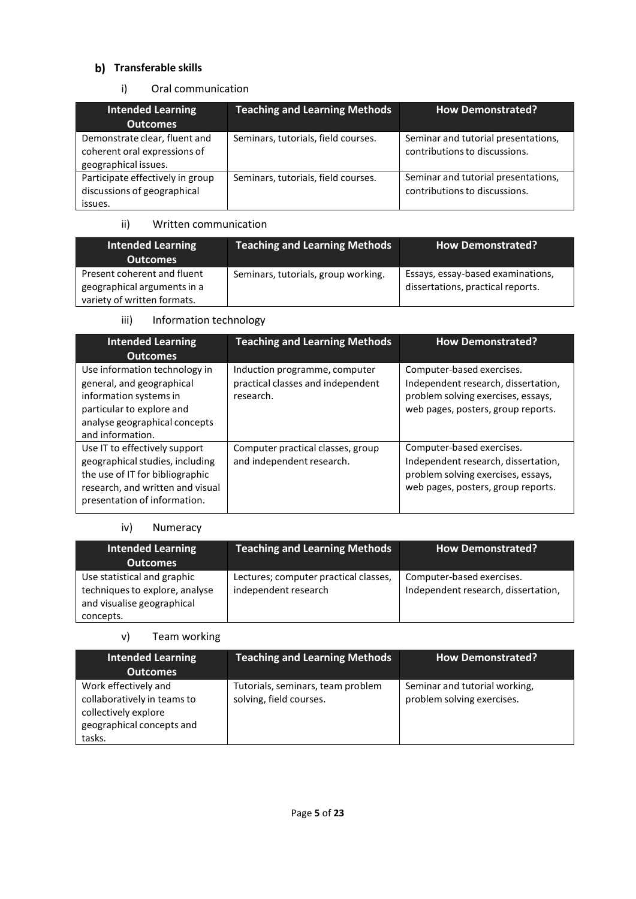## **Transferable skills**

## i) Oral communication

| <b>Intended Learning</b><br><b>Outcomes</b>                                           | <b>Teaching and Learning Methods</b> | <b>How Demonstrated?</b>                                             |
|---------------------------------------------------------------------------------------|--------------------------------------|----------------------------------------------------------------------|
| Demonstrate clear, fluent and<br>coherent oral expressions of<br>geographical issues. | Seminars, tutorials, field courses.  | Seminar and tutorial presentations,<br>contributions to discussions. |
| Participate effectively in group<br>discussions of geographical<br>issues.            | Seminars, tutorials, field courses.  | Seminar and tutorial presentations,<br>contributions to discussions. |

## ii) Written communication

| <b>Intended Learning</b><br>Outcomes | <b>Teaching and Learning Methods</b> | <b>How Demonstrated?</b>          |
|--------------------------------------|--------------------------------------|-----------------------------------|
| Present coherent and fluent          | Seminars, tutorials, group working.  | Essays, essay-based examinations, |
| geographical arguments in a          |                                      | dissertations, practical reports. |
| variety of written formats.          |                                      |                                   |

## iii) Information technology

| <b>Intended Learning</b><br><b>Outcomes</b>                                                                                                                             | <b>Teaching and Learning Methods</b>                                            | <b>How Demonstrated?</b>                                                                                                                     |
|-------------------------------------------------------------------------------------------------------------------------------------------------------------------------|---------------------------------------------------------------------------------|----------------------------------------------------------------------------------------------------------------------------------------------|
| Use information technology in<br>general, and geographical<br>information systems in<br>particular to explore and<br>analyse geographical concepts<br>and information.  | Induction programme, computer<br>practical classes and independent<br>research. | Computer-based exercises.<br>Independent research, dissertation,<br>problem solving exercises, essays,<br>web pages, posters, group reports. |
| Use IT to effectively support<br>geographical studies, including<br>the use of IT for bibliographic<br>research, and written and visual<br>presentation of information. | Computer practical classes, group<br>and independent research.                  | Computer-based exercises.<br>Independent research, dissertation,<br>problem solving exercises, essays,<br>web pages, posters, group reports. |

## iv) Numeracy

| Intended Learning<br><b>Outcomes</b>                                                                     | <b>Teaching and Learning Methods</b>                          | <b>How Demonstrated?</b>                                         |
|----------------------------------------------------------------------------------------------------------|---------------------------------------------------------------|------------------------------------------------------------------|
| Use statistical and graphic<br>techniques to explore, analyse<br>and visualise geographical<br>concepts. | Lectures; computer practical classes,<br>independent research | Computer-based exercises.<br>Independent research, dissertation, |

### v) Team working

| <b>Intended Learning</b><br><b>Outcomes</b>                                                                        | <b>Teaching and Learning Methods</b>                         | <b>How Demonstrated?</b>                                    |
|--------------------------------------------------------------------------------------------------------------------|--------------------------------------------------------------|-------------------------------------------------------------|
| Work effectively and<br>collaboratively in teams to<br>collectively explore<br>geographical concepts and<br>tasks. | Tutorials, seminars, team problem<br>solving, field courses. | Seminar and tutorial working,<br>problem solving exercises. |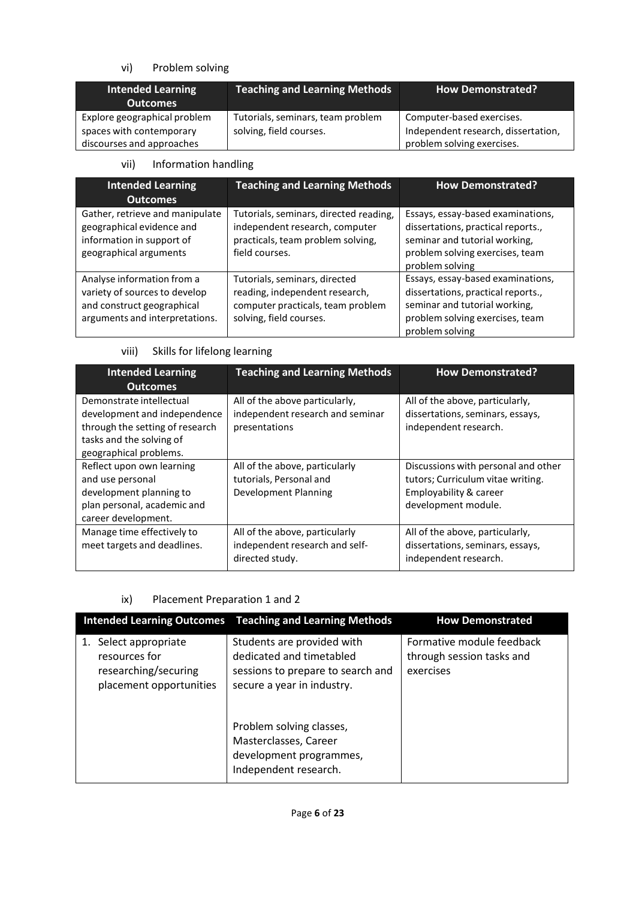## vi) Problem solving

| <b>Intended Learning</b><br><b>Outcomes</b> | <b>Teaching and Learning Methods</b> | <b>How Demonstrated?</b>            |
|---------------------------------------------|--------------------------------------|-------------------------------------|
| Explore geographical problem                | Tutorials, seminars, team problem    | Computer-based exercises.           |
| spaces with contemporary                    | solving, field courses.              | Independent research, dissertation, |
| discourses and approaches                   |                                      | problem solving exercises.          |

## vii) Information handling

| <b>Intended Learning</b><br><b>Outcomes</b>                                                                                 | <b>Teaching and Learning Methods</b>                                                                                            | <b>How Demonstrated?</b>                                                                                                                                       |
|-----------------------------------------------------------------------------------------------------------------------------|---------------------------------------------------------------------------------------------------------------------------------|----------------------------------------------------------------------------------------------------------------------------------------------------------------|
| Gather, retrieve and manipulate<br>geographical evidence and<br>information in support of<br>geographical arguments         | Tutorials, seminars, directed reading,<br>independent research, computer<br>practicals, team problem solving,<br>field courses. | Essays, essay-based examinations,<br>dissertations, practical reports.,<br>seminar and tutorial working,<br>problem solving exercises, team<br>problem solving |
| Analyse information from a<br>variety of sources to develop<br>and construct geographical<br>arguments and interpretations. | Tutorials, seminars, directed<br>reading, independent research,<br>computer practicals, team problem<br>solving, field courses. | Essays, essay-based examinations,<br>dissertations, practical reports.,<br>seminar and tutorial working,<br>problem solving exercises, team<br>problem solving |

viii) Skills for lifelong learning

| <b>Intended Learning</b><br><b>Outcomes</b>                                                                                                       | <b>Teaching and Learning Methods</b>                                                | <b>How Demonstrated?</b>                                                                                                  |
|---------------------------------------------------------------------------------------------------------------------------------------------------|-------------------------------------------------------------------------------------|---------------------------------------------------------------------------------------------------------------------------|
| Demonstrate intellectual<br>development and independence<br>through the setting of research<br>tasks and the solving of<br>geographical problems. | All of the above particularly,<br>independent research and seminar<br>presentations | All of the above, particularly,<br>dissertations, seminars, essays,<br>independent research.                              |
| Reflect upon own learning<br>and use personal<br>development planning to<br>plan personal, academic and<br>career development.                    | All of the above, particularly<br>tutorials, Personal and<br>Development Planning   | Discussions with personal and other<br>tutors; Curriculum vitae writing.<br>Employability & career<br>development module. |
| Manage time effectively to<br>meet targets and deadlines.                                                                                         | All of the above, particularly<br>independent research and self-<br>directed study. | All of the above, particularly,<br>dissertations, seminars, essays,<br>independent research.                              |

## ix) Placement Preparation 1 and 2

|                                                                                           | <b>Intended Learning Outcomes</b> Teaching and Learning Methods                                                           | <b>How Demonstrated</b>                                             |
|-------------------------------------------------------------------------------------------|---------------------------------------------------------------------------------------------------------------------------|---------------------------------------------------------------------|
| 1. Select appropriate<br>resources for<br>researching/securing<br>placement opportunities | Students are provided with<br>dedicated and timetabled<br>sessions to prepare to search and<br>secure a year in industry. | Formative module feedback<br>through session tasks and<br>exercises |
|                                                                                           | Problem solving classes,<br>Masterclasses, Career<br>development programmes,<br>Independent research.                     |                                                                     |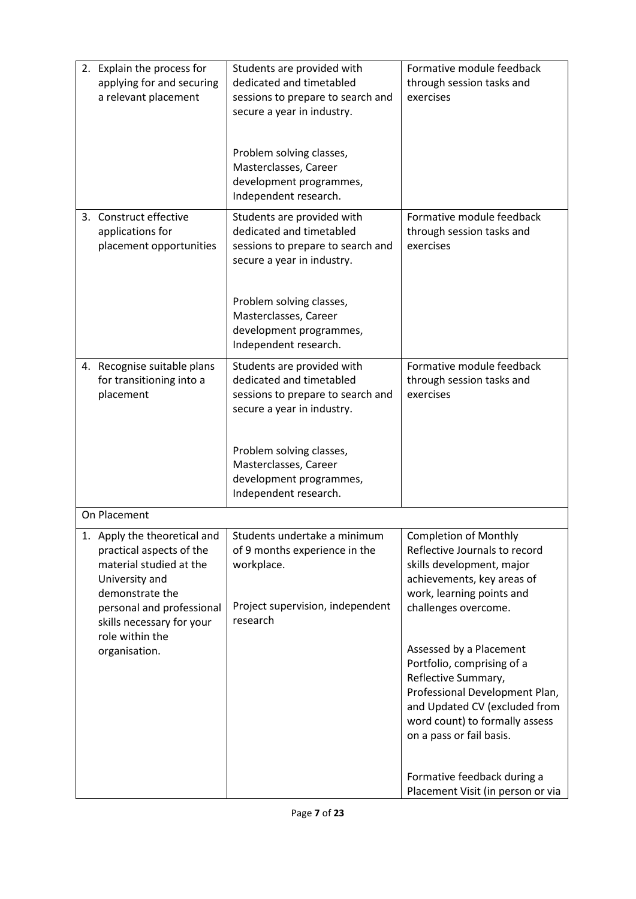| 2. Explain the process for<br>applying for and securing<br>a relevant placement                                                                    | Students are provided with<br>dedicated and timetabled<br>sessions to prepare to search and<br>secure a year in industry.                                  | Formative module feedback<br>through session tasks and<br>exercises                                                                                                                                           |
|----------------------------------------------------------------------------------------------------------------------------------------------------|------------------------------------------------------------------------------------------------------------------------------------------------------------|---------------------------------------------------------------------------------------------------------------------------------------------------------------------------------------------------------------|
|                                                                                                                                                    | Problem solving classes,<br>Masterclasses, Career<br>development programmes,<br>Independent research.                                                      |                                                                                                                                                                                                               |
| 3. Construct effective<br>applications for<br>placement opportunities                                                                              | Students are provided with<br>dedicated and timetabled<br>sessions to prepare to search and<br>secure a year in industry.                                  | Formative module feedback<br>through session tasks and<br>exercises                                                                                                                                           |
|                                                                                                                                                    | Problem solving classes,<br>Masterclasses, Career<br>development programmes,<br>Independent research.                                                      |                                                                                                                                                                                                               |
| 4. Recognise suitable plans<br>for transitioning into a<br>placement                                                                               | Students are provided with<br>dedicated and timetabled<br>sessions to prepare to search and<br>secure a year in industry.                                  | Formative module feedback<br>through session tasks and<br>exercises                                                                                                                                           |
|                                                                                                                                                    | Problem solving classes,<br>Masterclasses, Career<br>development programmes,<br>Independent research.                                                      |                                                                                                                                                                                                               |
| On Placement                                                                                                                                       |                                                                                                                                                            |                                                                                                                                                                                                               |
| practical aspects of the<br>material studied at the<br>University and<br>demonstrate the<br>personal and professional<br>skills necessary for your | 1. Apply the theoretical and   Students undertake a minimum<br>of 9 months experience in the<br>workplace.<br>Project supervision, independent<br>research | <b>Completion of Monthly</b><br>Reflective Journals to record<br>skills development, major<br>achievements, key areas of<br>work, learning points and<br>challenges overcome.                                 |
| role within the<br>organisation.                                                                                                                   |                                                                                                                                                            | Assessed by a Placement<br>Portfolio, comprising of a<br>Reflective Summary,<br>Professional Development Plan,<br>and Updated CV (excluded from<br>word count) to formally assess<br>on a pass or fail basis. |
|                                                                                                                                                    |                                                                                                                                                            | Formative feedback during a<br>Placement Visit (in person or via                                                                                                                                              |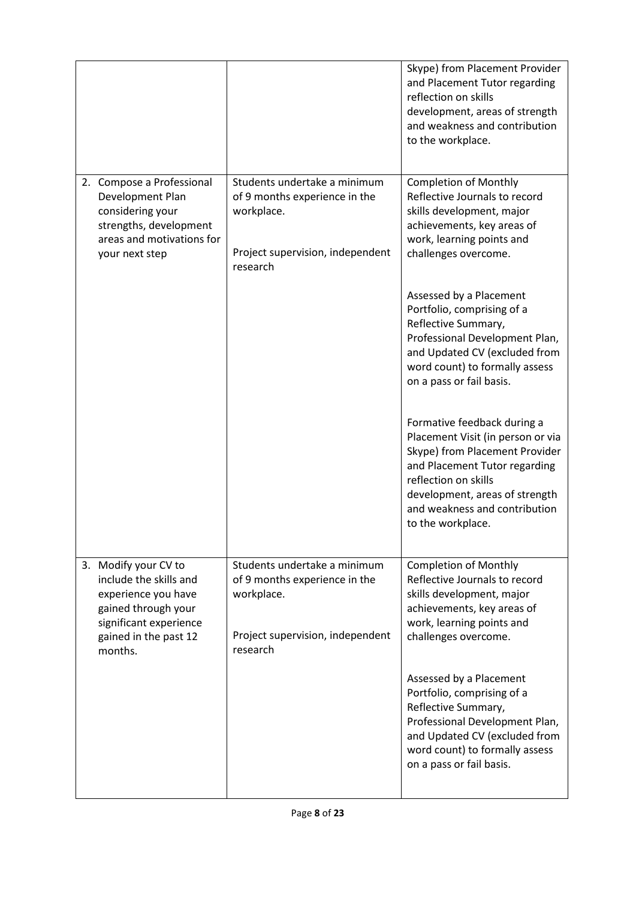|                                                                                                                                                            |                                                                                                                             | Skype) from Placement Provider<br>and Placement Tutor regarding<br>reflection on skills<br>development, areas of strength<br>and weakness and contribution<br>to the workplace.                                                                     |
|------------------------------------------------------------------------------------------------------------------------------------------------------------|-----------------------------------------------------------------------------------------------------------------------------|-----------------------------------------------------------------------------------------------------------------------------------------------------------------------------------------------------------------------------------------------------|
| 2. Compose a Professional<br>Development Plan<br>considering your<br>strengths, development<br>areas and motivations for<br>your next step                 | Students undertake a minimum<br>of 9 months experience in the<br>workplace.<br>Project supervision, independent<br>research | <b>Completion of Monthly</b><br>Reflective Journals to record<br>skills development, major<br>achievements, key areas of<br>work, learning points and<br>challenges overcome.                                                                       |
|                                                                                                                                                            |                                                                                                                             | Assessed by a Placement<br>Portfolio, comprising of a<br>Reflective Summary,<br>Professional Development Plan,<br>and Updated CV (excluded from<br>word count) to formally assess<br>on a pass or fail basis.                                       |
|                                                                                                                                                            |                                                                                                                             | Formative feedback during a<br>Placement Visit (in person or via<br>Skype) from Placement Provider<br>and Placement Tutor regarding<br>reflection on skills<br>development, areas of strength<br>and weakness and contribution<br>to the workplace. |
| 3. Modify your CV to<br>include the skills and<br>experience you have<br>gained through your<br>significant experience<br>gained in the past 12<br>months. | Students undertake a minimum<br>of 9 months experience in the<br>workplace.<br>Project supervision, independent<br>research | <b>Completion of Monthly</b><br>Reflective Journals to record<br>skills development, major<br>achievements, key areas of<br>work, learning points and<br>challenges overcome.                                                                       |
|                                                                                                                                                            |                                                                                                                             | Assessed by a Placement<br>Portfolio, comprising of a<br>Reflective Summary,<br>Professional Development Plan,<br>and Updated CV (excluded from<br>word count) to formally assess<br>on a pass or fail basis.                                       |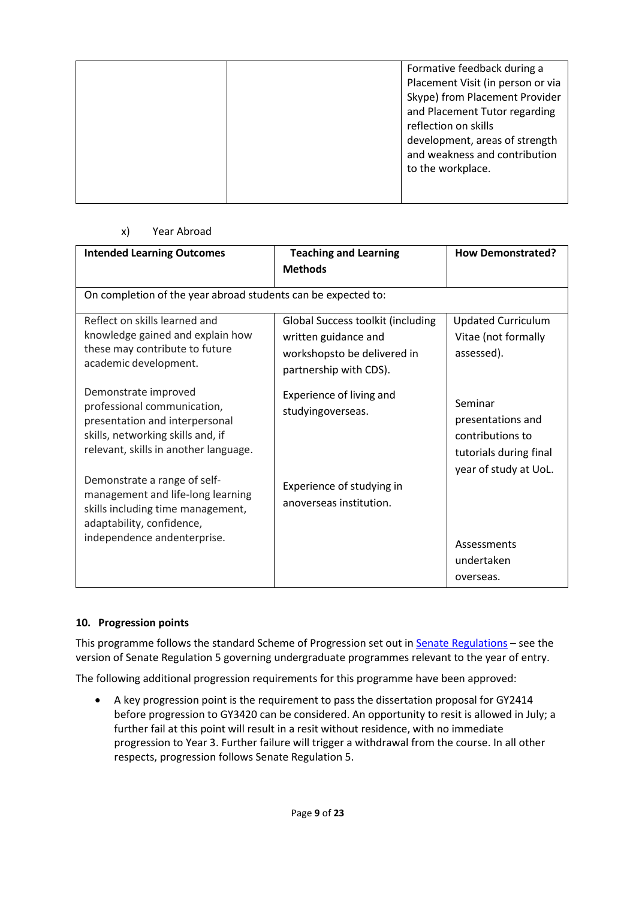|  | Formative feedback during a<br>Placement Visit (in person or via<br>Skype) from Placement Provider<br>and Placement Tutor regarding<br>reflection on skills<br>development, areas of strength<br>and weakness and contribution<br>to the workplace. |
|--|-----------------------------------------------------------------------------------------------------------------------------------------------------------------------------------------------------------------------------------------------------|
|--|-----------------------------------------------------------------------------------------------------------------------------------------------------------------------------------------------------------------------------------------------------|

## x) Year Abroad

| <b>Intended Learning Outcomes</b>                                                                                                                                   | <b>Teaching and Learning</b><br><b>Methods</b>                                                                            | <b>How Demonstrated?</b>                                                                            |
|---------------------------------------------------------------------------------------------------------------------------------------------------------------------|---------------------------------------------------------------------------------------------------------------------------|-----------------------------------------------------------------------------------------------------|
| On completion of the year abroad students can be expected to:                                                                                                       |                                                                                                                           |                                                                                                     |
| Reflect on skills learned and<br>knowledge gained and explain how<br>these may contribute to future<br>academic development.                                        | <b>Global Success toolkit (including</b><br>written guidance and<br>workshopsto be delivered in<br>partnership with CDS). | <b>Updated Curriculum</b><br>Vitae (not formally<br>assessed).                                      |
| Demonstrate improved<br>professional communication,<br>presentation and interpersonal<br>skills, networking skills and, if<br>relevant, skills in another language. | Experience of living and<br>studyingoverseas.                                                                             | Seminar<br>presentations and<br>contributions to<br>tutorials during final<br>year of study at UoL. |
| Demonstrate a range of self-<br>management and life-long learning<br>skills including time management,<br>adaptability, confidence,<br>independence andenterprise.  | Experience of studying in<br>anoverseas institution.                                                                      | Assessments<br>undertaken<br>overseas.                                                              |

## **10. Progression points**

This programme follows the standard Scheme of Progression set out i[n Senate Regulations](http://www.le.ac.uk/senate-regulations) – see the version of Senate Regulation 5 governing undergraduate programmes relevant to the year of entry.

The following additional progression requirements for this programme have been approved:

• A key progression point is the requirement to pass the dissertation proposal for GY2414 before progression to GY3420 can be considered. An opportunity to resit is allowed in July; a further fail at this point will result in a resit without residence, with no immediate progression to Year 3. Further failure will trigger a withdrawal from the course. In all other respects, progression follows Senate Regulation 5.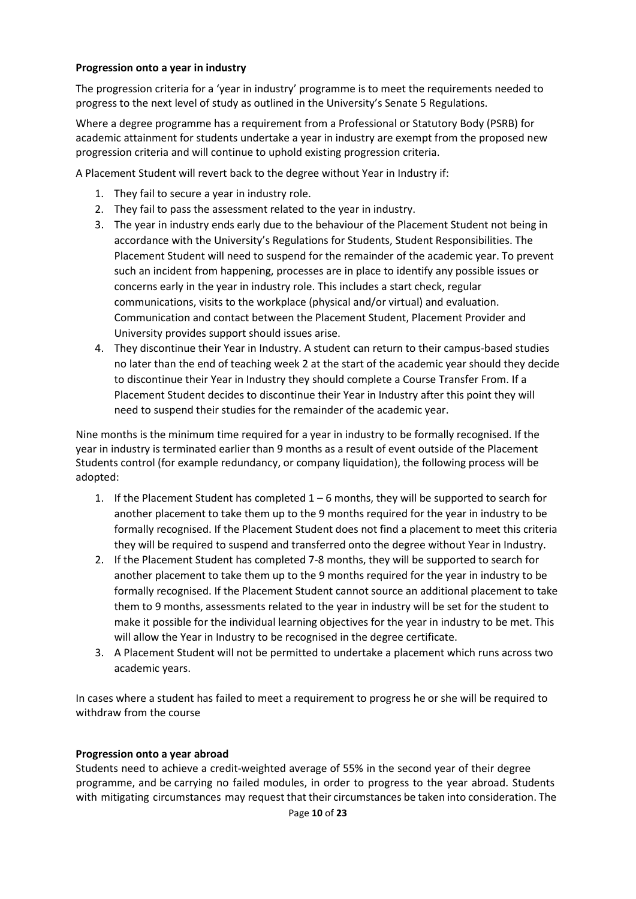## **Progression onto a year in industry**

The progression criteria for a 'year in industry' programme is to meet the requirements needed to progress to the next level of study as outlined in the University's Senate 5 Regulations.

Where a degree programme has a requirement from a Professional or Statutory Body (PSRB) for academic attainment for students undertake a year in industry are exempt from the proposed new progression criteria and will continue to uphold existing progression criteria.

A Placement Student will revert back to the degree without Year in Industry if:

- 1. They fail to secure a year in industry role.
- 2. They fail to pass the assessment related to the year in industry.
- 3. The year in industry ends early due to the behaviour of the Placement Student not being in accordance with the University's Regulations for Students, Student Responsibilities. The Placement Student will need to suspend for the remainder of the academic year. To prevent such an incident from happening, processes are in place to identify any possible issues or concerns early in the year in industry role. This includes a start check, regular communications, visits to the workplace (physical and/or virtual) and evaluation. Communication and contact between the Placement Student, Placement Provider and University provides support should issues arise.
- 4. They discontinue their Year in Industry. A student can return to their campus-based studies no later than the end of teaching week 2 at the start of the academic year should they decide to discontinue their Year in Industry they should complete a Course Transfer From. If a Placement Student decides to discontinue their Year in Industry after this point they will need to suspend their studies for the remainder of the academic year.

Nine months is the minimum time required for a year in industry to be formally recognised. If the year in industry is terminated earlier than 9 months as a result of event outside of the Placement Students control (for example redundancy, or company liquidation), the following process will be adopted:

- 1. If the Placement Student has completed  $1-6$  months, they will be supported to search for another placement to take them up to the 9 months required for the year in industry to be formally recognised. If the Placement Student does not find a placement to meet this criteria they will be required to suspend and transferred onto the degree without Year in Industry.
- 2. If the Placement Student has completed 7-8 months, they will be supported to search for another placement to take them up to the 9 months required for the year in industry to be formally recognised. If the Placement Student cannot source an additional placement to take them to 9 months, assessments related to the year in industry will be set for the student to make it possible for the individual learning objectives for the year in industry to be met. This will allow the Year in Industry to be recognised in the degree certificate.
- 3. A Placement Student will not be permitted to undertake a placement which runs across two academic years.

In cases where a student has failed to meet a requirement to progress he or she will be required to withdraw from the course

## **Progression onto a year abroad**

Students need to achieve a credit-weighted average of 55% in the second year of their degree programme, and be carrying no failed modules, in order to progress to the year abroad. Students with mitigating circumstances may request that their circumstances be taken into consideration. The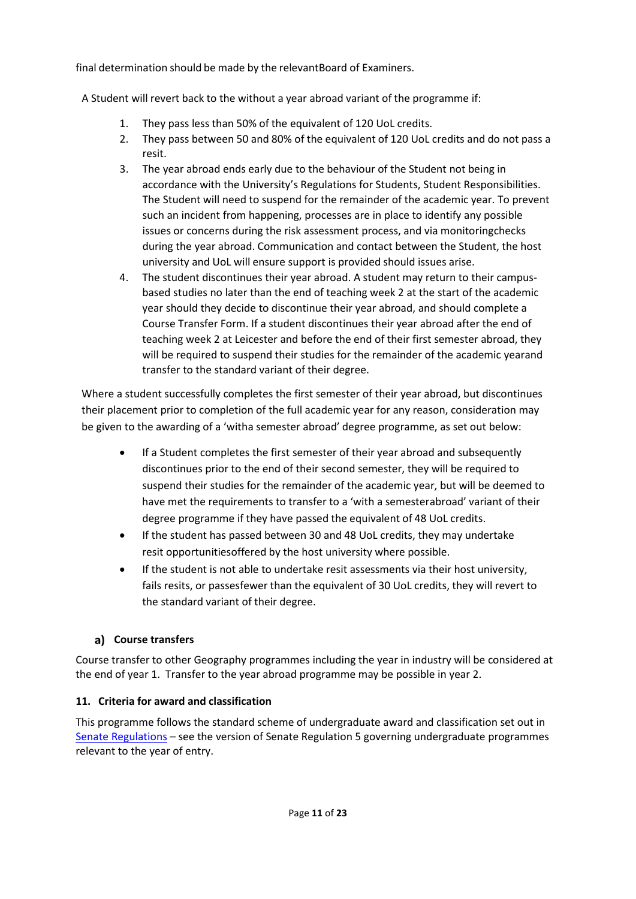final determination should be made by the relevantBoard of Examiners.

A Student will revert back to the without a year abroad variant of the programme if:

- 1. They pass less than 50% of the equivalent of 120 UoL credits.
- 2. They pass between 50 and 80% of the equivalent of 120 UoL credits and do not pass a resit.
- 3. The year abroad ends early due to the behaviour of the Student not being in accordance with the University's Regulations for Students, Student Responsibilities. The Student will need to suspend for the remainder of the academic year. To prevent such an incident from happening, processes are in place to identify any possible issues or concerns during the risk assessment process, and via monitoringchecks during the year abroad. Communication and contact between the Student, the host university and UoL will ensure support is provided should issues arise.
- 4. The student discontinues their year abroad. A student may return to their campusbased studies no later than the end of teaching week 2 at the start of the academic year should they decide to discontinue their year abroad, and should complete a Course Transfer Form. If a student discontinues their year abroad after the end of teaching week 2 at Leicester and before the end of their first semester abroad, they will be required to suspend their studies for the remainder of the academic yearand transfer to the standard variant of their degree.

Where a student successfully completes the first semester of their year abroad, but discontinues their placement prior to completion of the full academic year for any reason, consideration may be given to the awarding of a 'witha semester abroad' degree programme, as set out below:

- If a Student completes the first semester of their year abroad and subsequently discontinues prior to the end of their second semester, they will be required to suspend their studies for the remainder of the academic year, but will be deemed to have met the requirements to transfer to a 'with a semesterabroad' variant of their degree programme if they have passed the equivalent of 48 UoL credits.
- If the student has passed between 30 and 48 UoL credits, they may undertake resit opportunitiesoffered by the host university where possible.
- If the student is not able to undertake resit assessments via their host university, fails resits, or passesfewer than the equivalent of 30 UoL credits, they will revert to the standard variant of their degree.

## **Course transfers**

Course transfer to other Geography programmes including the year in industry will be considered at the end of year 1. Transfer to the year abroad programme may be possible in year 2.

## **11. Criteria for award and classification**

This programme follows the standard scheme of undergraduate award and classification set out in [Senate Regulations](http://www.le.ac.uk/senate-regulations) – see the version of Senate Regulation 5 governing undergraduate programmes relevant to the year of entry.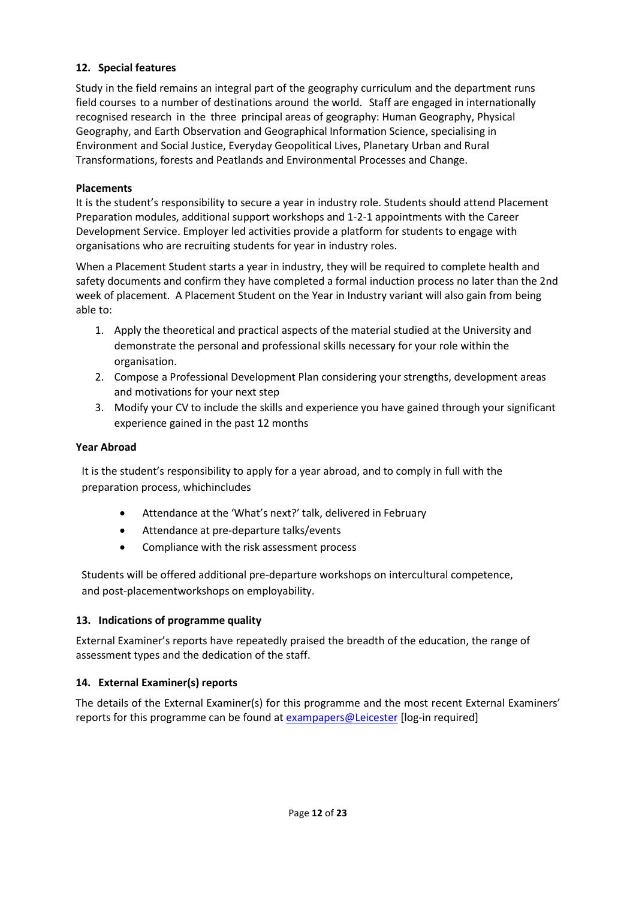## **12. Special features**

Study in the field remains an integral part of the geography curriculum and the department runs field courses to a number of destinations around the world. Staff are engaged in internationally recognised research in the three principal areas of geography: Human Geography, Physical Geography, and Earth Observation and Geographical Information Science, specialising in Environment and Social Justice, Everyday Geopolitical Lives, Planetary Urban and Rural Transformations, forests and Peatlands and Environmental Processes and Change.

### **Placements**

It is the student's responsibility to secure a year in industry role. Students should attend Placement Preparation modules, additional support workshops and 1-2-1 appointments with the Career Development Service. Employer led activities provide a platform for students to engage with organisations who are recruiting students for year in industry roles.

When a Placement Student starts a year in industry, they will be required to complete health and safety documents and confirm they have completed a formal induction process no later than the 2nd week of placement. A Placement Student on the Year in Industry variant will also gain from being able to:

- 1. Apply the theoretical and practical aspects of the material studied at the University and demonstrate the personal and professional skills necessary for your role within the organisation.
- 2. Compose a Professional Development Plan considering your strengths, development areas and motivations for your next step
- 3. Modify your CV to include the skills and experience you have gained through your significant experience gained in the past 12 months

### **Year Abroad**

It is the student's responsibility to apply for a year abroad, and to comply in full with the preparation process, whichincludes

- Attendance at the 'What's next?' talk, delivered in February
- Attendance at pre-departure talks/events
- Compliance with the risk assessment process

Students will be offered additional pre-departure workshops on intercultural competence, and post-placementworkshops on employability.

## **13. Indications of programme quality**

External Examiner's reports have repeatedly praised the breadth of the education, the range of assessment types and the dedication of the staff.

## **14. External Examiner(s) reports**

The details of the External Examiner(s) for this programme and the most recent External Examiners' reports for this programme can be found at **[exampapers@Leicester](https://exampapers.le.ac.uk/)** [log-in required]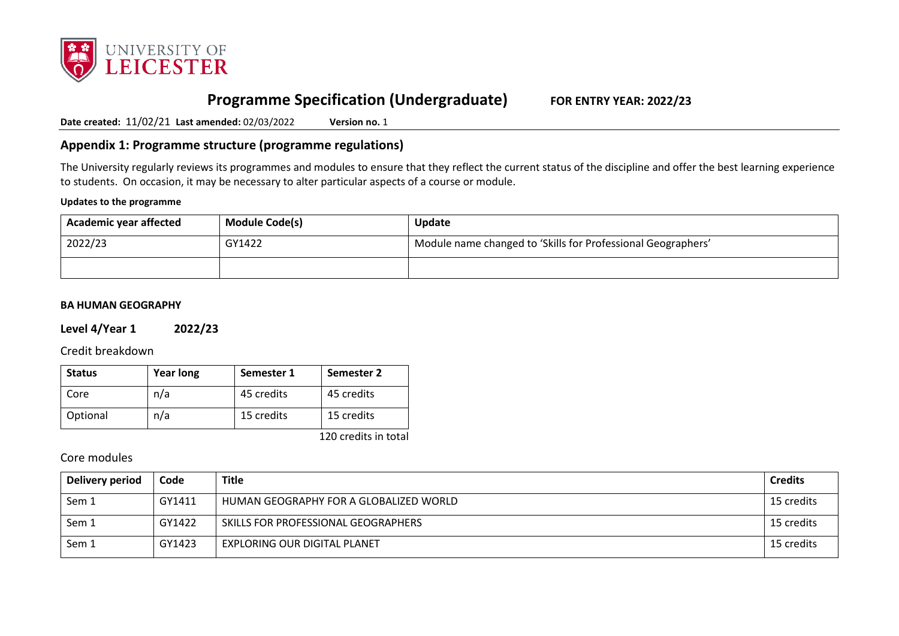

# **Programme Specification (Undergraduate) FOR ENTRY YEAR: 2022/23**

**Date created:** 11/02/21 **Last amended:** 02/03/2022 **Version no.** 1

## **Appendix 1: Programme structure (programme regulations)**

The University regularly reviews its programmes and modules to ensure that they reflect the current status of the discipline and offer the best learning experience to students. On occasion, it may be necessary to alter particular aspects of a course or module.

#### **Updates to the programme**

| Academic year affected | <b>Module Code(s)</b> | Update                                                       |
|------------------------|-----------------------|--------------------------------------------------------------|
| 2022/23                | GY1422                | Module name changed to 'Skills for Professional Geographers' |
|                        |                       |                                                              |

#### **BA HUMAN GEOGRAPHY**

### **Level 4/Year 1 2022/23**

Credit breakdown

| <b>Status</b> | <b>Year long</b> | Semester 1 | Semester 2 |
|---------------|------------------|------------|------------|
| Core          | n/a              | 45 credits | 45 credits |
| Optional      | n/a              | 15 credits | 15 credits |

120 credits in total

## Core modules

| Delivery period | Code   | <b>Title</b>                           | <b>Credits</b> |
|-----------------|--------|----------------------------------------|----------------|
| Sem 1           | GY1411 | HUMAN GEOGRAPHY FOR A GLOBALIZED WORLD | 15 credits     |
| Sem 1           | GY1422 | SKILLS FOR PROFESSIONAL GEOGRAPHERS    | 15 credits     |
| Sem 1           | GY1423 | <b>EXPLORING OUR DIGITAL PLANET</b>    | 15 credits     |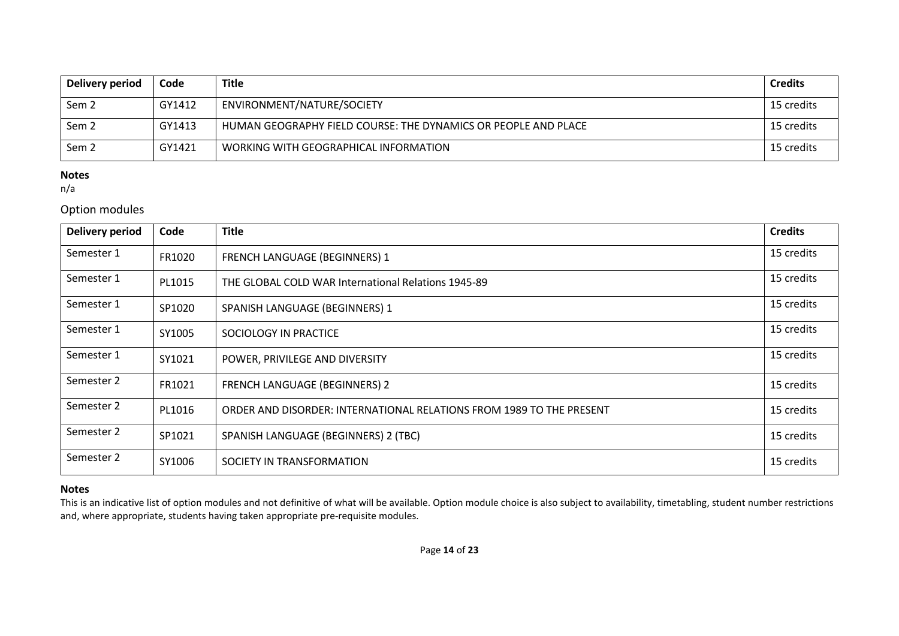| Delivery period  | Code   | <b>Title</b>                                                   | <b>Credits</b> |
|------------------|--------|----------------------------------------------------------------|----------------|
| Sem <sub>2</sub> | GY1412 | ENVIRONMENT/NATURE/SOCIETY                                     | 15 credits     |
| Sem <sub>2</sub> | GY1413 | HUMAN GEOGRAPHY FIELD COURSE: THE DYNAMICS OR PEOPLE AND PLACE | 15 credits     |
| Sem <sub>2</sub> | GY1421 | WORKING WITH GEOGRAPHICAL INFORMATION                          | 15 credits     |

n/a

## Option modules

| <b>Delivery period</b> | Code   | <b>Title</b>                                                         | <b>Credits</b> |
|------------------------|--------|----------------------------------------------------------------------|----------------|
| Semester 1             | FR1020 | FRENCH LANGUAGE (BEGINNERS) 1                                        | 15 credits     |
| Semester 1             | PL1015 | THE GLOBAL COLD WAR International Relations 1945-89                  | 15 credits     |
| Semester 1             | SP1020 | SPANISH LANGUAGE (BEGINNERS) 1                                       | 15 credits     |
| Semester 1             | SY1005 | SOCIOLOGY IN PRACTICE                                                | 15 credits     |
| Semester 1             | SY1021 | POWER, PRIVILEGE AND DIVERSITY                                       | 15 credits     |
| Semester 2             | FR1021 | FRENCH LANGUAGE (BEGINNERS) 2                                        | 15 credits     |
| Semester 2             | PL1016 | ORDER AND DISORDER: INTERNATIONAL RELATIONS FROM 1989 TO THE PRESENT | 15 credits     |
| Semester 2             | SP1021 | SPANISH LANGUAGE (BEGINNERS) 2 (TBC)                                 | 15 credits     |
| Semester 2             | SY1006 | SOCIETY IN TRANSFORMATION                                            | 15 credits     |

### **Notes**

This is an indicative list of option modules and not definitive of what will be available. Option module choice is also subject to availability, timetabling, student number restrictions and, where appropriate, students having taken appropriate pre-requisite modules.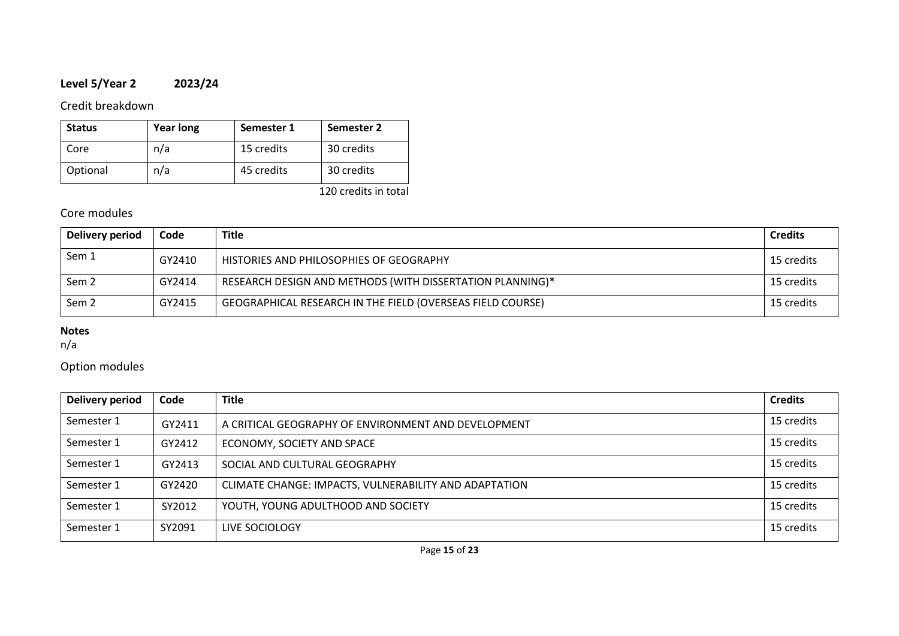# **Level 5/Year 2 2023/24**

## Credit breakdown

| <b>Status</b> | <b>Year long</b> | Semester 1 | Semester 2 |
|---------------|------------------|------------|------------|
| Core          | n/a              | 15 credits | 30 credits |
| Optional      | n/a              | 45 credits | 30 credits |

120 credits in total

## Core modules

| Delivery period  | Code   | <b>Title</b>                                               | <b>Credits</b> |
|------------------|--------|------------------------------------------------------------|----------------|
| Sem 1            | GY2410 | HISTORIES AND PHILOSOPHIES OF GEOGRAPHY                    | 15 credits     |
| Sem <sub>2</sub> | GY2414 | RESEARCH DESIGN AND METHODS (WITH DISSERTATION PLANNING)*  | 15 credits     |
| Sem <sub>2</sub> | GY2415 | GEOGRAPHICAL RESEARCH IN THE FIELD (OVERSEAS FIELD COURSE) | 15 credits     |

## **Notes**

n/a

## Option modules

| <b>Delivery period</b> | Code   | <b>Title</b>                                          | <b>Credits</b> |
|------------------------|--------|-------------------------------------------------------|----------------|
| Semester 1             | GY2411 | A CRITICAL GEOGRAPHY OF ENVIRONMENT AND DEVELOPMENT   | 15 credits     |
| Semester 1             | GY2412 | ECONOMY, SOCIETY AND SPACE                            | 15 credits     |
| Semester 1             | GY2413 | SOCIAL AND CULTURAL GEOGRAPHY                         | 15 credits     |
| Semester 1             | GY2420 | CLIMATE CHANGE: IMPACTS, VULNERABILITY AND ADAPTATION | 15 credits     |
| Semester 1             | SY2012 | YOUTH, YOUNG ADULTHOOD AND SOCIETY                    | 15 credits     |
| Semester 1             | SY2091 | LIVE SOCIOLOGY                                        | 15 credits     |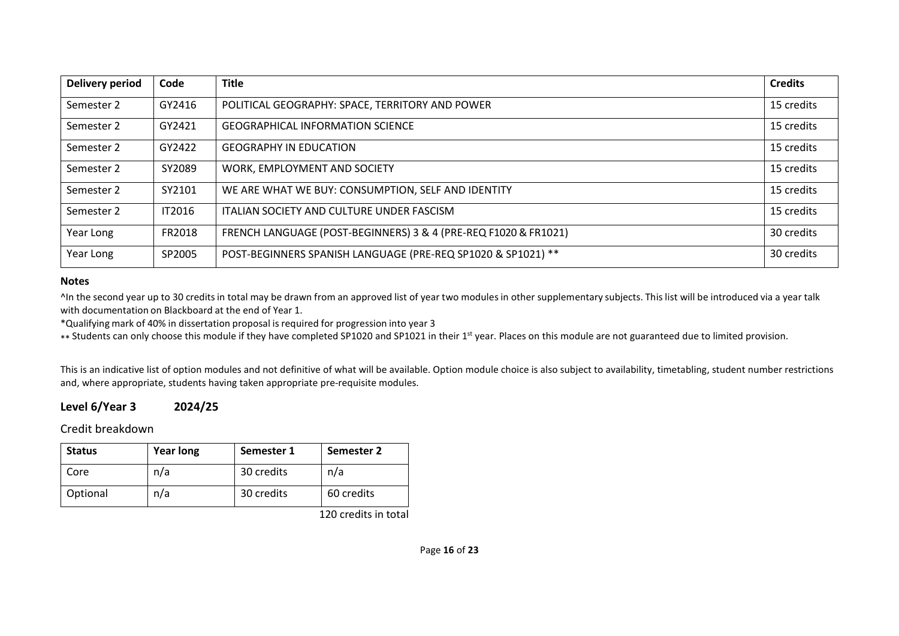| <b>Delivery period</b> | Code          | <b>Title</b>                                                    | <b>Credits</b> |
|------------------------|---------------|-----------------------------------------------------------------|----------------|
| Semester 2             | GY2416        | POLITICAL GEOGRAPHY: SPACE, TERRITORY AND POWER                 | 15 credits     |
| Semester 2             | GY2421        | <b>GEOGRAPHICAL INFORMATION SCIENCE</b>                         | 15 credits     |
| Semester 2             | GY2422        | <b>GEOGRAPHY IN EDUCATION</b>                                   | 15 credits     |
| Semester 2             | SY2089        | WORK, EMPLOYMENT AND SOCIETY                                    | 15 credits     |
| Semester 2             | SY2101        | WE ARE WHAT WE BUY: CONSUMPTION, SELF AND IDENTITY              | 15 credits     |
| Semester 2             | <b>IT2016</b> | ITALIAN SOCIETY AND CULTURE UNDER FASCISM                       | 15 credits     |
| Year Long              | FR2018        | FRENCH LANGUAGE (POST-BEGINNERS) 3 & 4 (PRE-REQ F1020 & FR1021) | 30 credits     |
| Year Long              | SP2005        | POST-BEGINNERS SPANISH LANGUAGE (PRE-REQ SP1020 & SP1021) **    | 30 credits     |

^In the second year up to 30 credits in total may be drawn from an approved list of year two modules in other supplementary subjects. This list will be introduced via a year talk with documentation on Blackboard at the end of Year 1.

\*Qualifying mark of 40% in dissertation proposal is required for progression into year 3

\*\* Students can only choose this module if they have completed SP1020 and SP1021 in their 1<sup>st</sup> year. Places on this module are not guaranteed due to limited provision.

This is an indicative list of option modules and not definitive of what will be available. Option module choice is also subject to availability, timetabling, student number restrictions and, where appropriate, students having taken appropriate pre-requisite modules.

## **Level 6/Year 3 2024/25**

Credit breakdown

| <b>Status</b> | <b>Year long</b> | Semester 1 | Semester 2 |
|---------------|------------------|------------|------------|
| Core          | n/a              | 30 credits | n/a        |
| Optional      | n/a              | 30 credits | 60 credits |

120 credits in total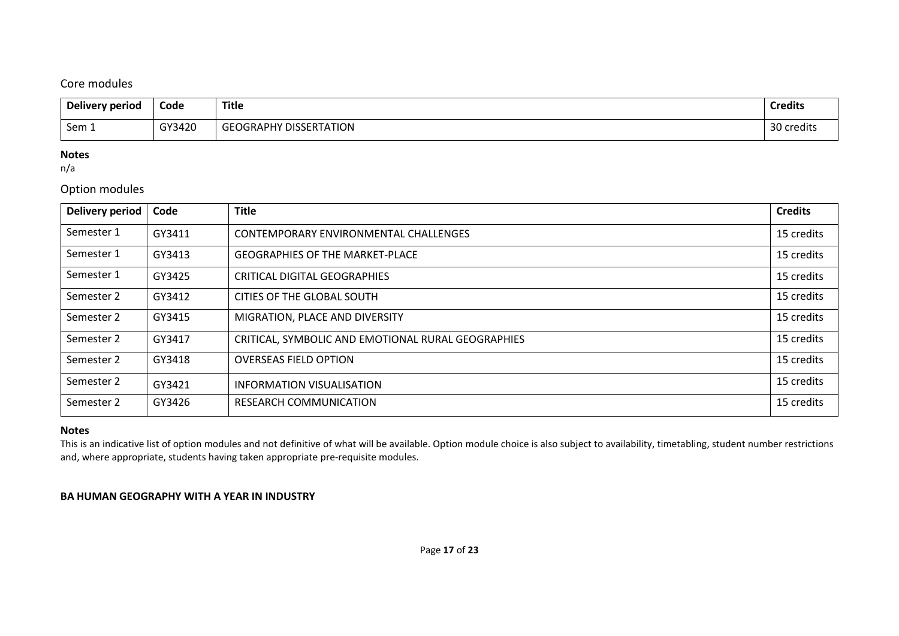## Core modules

| Delivery period | Code   | <b>Title</b>                  | <b>Credits</b> |
|-----------------|--------|-------------------------------|----------------|
| Sem 1           | GY3420 | <b>GEOGRAPHY DISSERTATION</b> | 30 credits     |

#### **Notes**

n/a

## Option modules

| <b>Delivery period</b> | Code   | <b>Title</b>                                       | <b>Credits</b> |
|------------------------|--------|----------------------------------------------------|----------------|
| Semester 1             | GY3411 | CONTEMPORARY ENVIRONMENTAL CHALLENGES              | 15 credits     |
| Semester 1             | GY3413 | <b>GEOGRAPHIES OF THE MARKET-PLACE</b>             | 15 credits     |
| Semester 1             | GY3425 | CRITICAL DIGITAL GEOGRAPHIES                       | 15 credits     |
| Semester 2             | GY3412 | CITIES OF THE GLOBAL SOUTH                         | 15 credits     |
| Semester 2             | GY3415 | MIGRATION, PLACE AND DIVERSITY                     | 15 credits     |
| Semester 2             | GY3417 | CRITICAL, SYMBOLIC AND EMOTIONAL RURAL GEOGRAPHIES | 15 credits     |
| Semester 2             | GY3418 | <b>OVERSEAS FIELD OPTION</b>                       | 15 credits     |
| Semester 2             | GY3421 | <b>INFORMATION VISUALISATION</b>                   | 15 credits     |
| Semester 2             | GY3426 | <b>RESEARCH COMMUNICATION</b>                      | 15 credits     |

## **Notes**

This is an indicative list of option modules and not definitive of what will be available. Option module choice is also subject to availability, timetabling, student number restrictions and, where appropriate, students having taken appropriate pre-requisite modules.

## **BA HUMAN GEOGRAPHY WITH A YEAR IN INDUSTRY**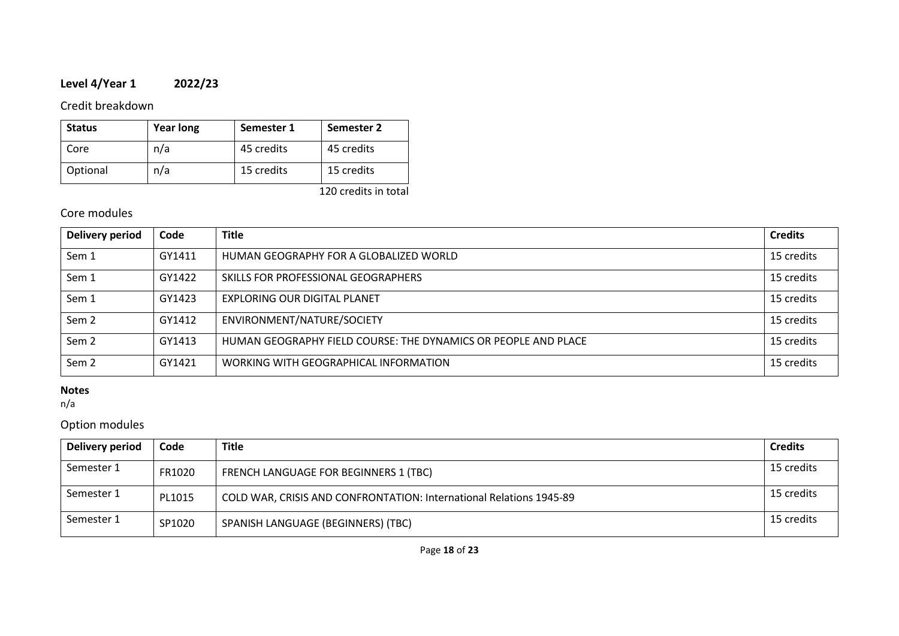# **Level 4/Year 1 2022/23**

Credit breakdown

| <b>Status</b> | <b>Year long</b> | Semester 1 | Semester 2 |
|---------------|------------------|------------|------------|
| Core          | n/a              | 45 credits | 45 credits |
| Optional      | n/a              | 15 credits | 15 credits |

120 credits in total

## Core modules

| <b>Delivery period</b> | Code   | <b>Title</b>                                                   | <b>Credits</b> |
|------------------------|--------|----------------------------------------------------------------|----------------|
| Sem 1                  | GY1411 | HUMAN GEOGRAPHY FOR A GLOBALIZED WORLD                         | 15 credits     |
| Sem 1                  | GY1422 | SKILLS FOR PROFESSIONAL GEOGRAPHERS                            | 15 credits     |
| Sem 1                  | GY1423 | <b>EXPLORING OUR DIGITAL PLANET</b>                            | 15 credits     |
| Sem <sub>2</sub>       | GY1412 | ENVIRONMENT/NATURE/SOCIETY                                     | 15 credits     |
| Sem 2                  | GY1413 | HUMAN GEOGRAPHY FIELD COURSE: THE DYNAMICS OR PEOPLE AND PLACE | 15 credits     |
| Sem <sub>2</sub>       | GY1421 | WORKING WITH GEOGRAPHICAL INFORMATION                          | 15 credits     |

## **Notes**

n/a

## Option modules

| Delivery period | Code   | <b>Title</b>                                                        | <b>Credits</b> |
|-----------------|--------|---------------------------------------------------------------------|----------------|
| Semester 1      | FR1020 | FRENCH LANGUAGE FOR BEGINNERS 1 (TBC)                               | 15 credits     |
| Semester 1      | PL1015 | COLD WAR, CRISIS AND CONFRONTATION: International Relations 1945-89 | 15 credits     |
| Semester 1      | SP1020 | SPANISH LANGUAGE (BEGINNERS) (TBC)                                  | 15 credits     |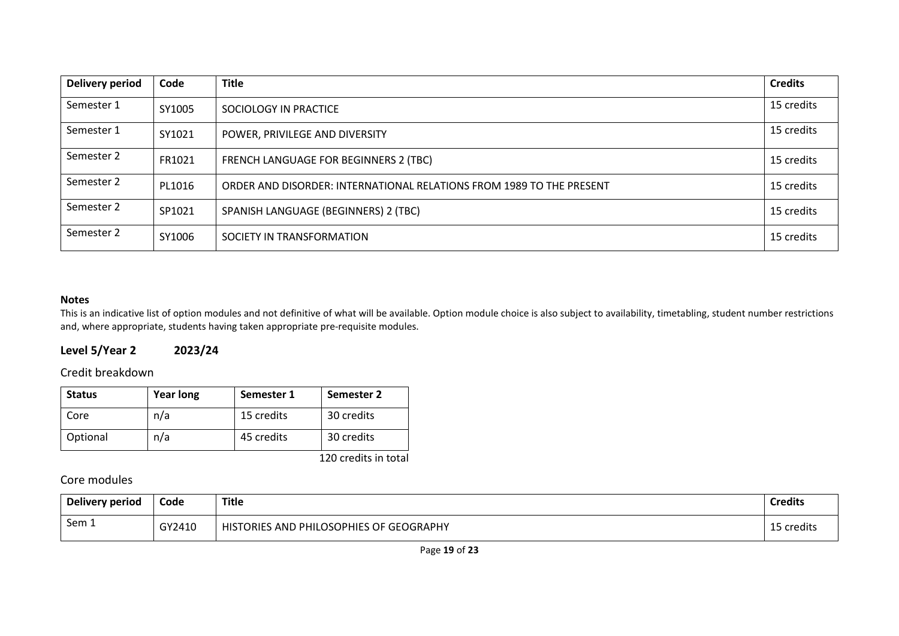| <b>Delivery period</b> | Code   | <b>Title</b>                                                         | <b>Credits</b> |
|------------------------|--------|----------------------------------------------------------------------|----------------|
| Semester 1             | SY1005 | SOCIOLOGY IN PRACTICE                                                | 15 credits     |
| Semester 1             | SY1021 | POWER, PRIVILEGE AND DIVERSITY                                       | 15 credits     |
| Semester 2             | FR1021 | FRENCH LANGUAGE FOR BEGINNERS 2 (TBC)                                | 15 credits     |
| Semester 2             | PL1016 | ORDER AND DISORDER: INTERNATIONAL RELATIONS FROM 1989 TO THE PRESENT | 15 credits     |
| Semester 2             | SP1021 | SPANISH LANGUAGE (BEGINNERS) 2 (TBC)                                 | 15 credits     |
| Semester 2             | SY1006 | SOCIETY IN TRANSFORMATION                                            | 15 credits     |

This is an indicative list of option modules and not definitive of what will be available. Option module choice is also subject to availability, timetabling, student number restrictions and, where appropriate, students having taken appropriate pre-requisite modules.

## **Level 5/Year 2 2023/24**

Credit breakdown

| <b>Status</b> | <b>Year long</b> | Semester 1 | Semester 2 |
|---------------|------------------|------------|------------|
| Core          | n/a              | 15 credits | 30 credits |
| Optional      | n/a              | 45 credits | 30 credits |

120 credits in total

Core modules

| Delivery period | Code   | <b>Title</b>                            | <b>Credits</b> |
|-----------------|--------|-----------------------------------------|----------------|
| Sem 1           | GY2410 | HISTORIES AND PHILOSOPHIES OF GEOGRAPHY | 15 credits     |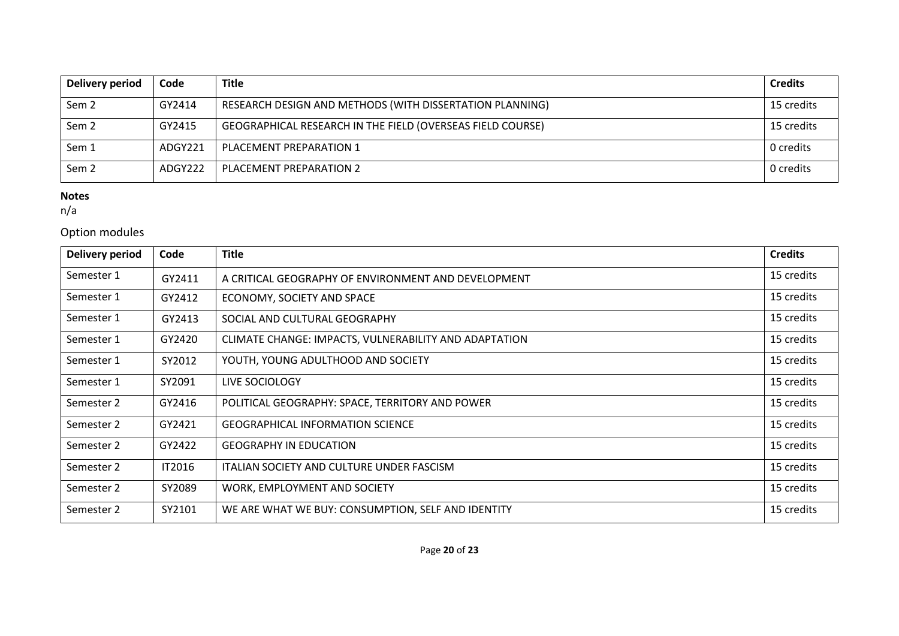| Delivery period  | Code    | <b>Title</b>                                               | <b>Credits</b> |
|------------------|---------|------------------------------------------------------------|----------------|
| Sem <sub>2</sub> | GY2414  | RESEARCH DESIGN AND METHODS (WITH DISSERTATION PLANNING)   | 15 credits     |
| Sem <sub>2</sub> | GY2415  | GEOGRAPHICAL RESEARCH IN THE FIELD (OVERSEAS FIELD COURSE) | 15 credits     |
| Sem 1            | ADGY221 | PLACEMENT PREPARATION 1                                    | 0 credits      |
| Sem <sub>2</sub> | ADGY222 | PLACEMENT PREPARATION 2                                    | 0 credits      |

n/a

# Option modules

| <b>Delivery period</b> | Code   | <b>Title</b>                                          | <b>Credits</b> |
|------------------------|--------|-------------------------------------------------------|----------------|
| Semester 1             | GY2411 | A CRITICAL GEOGRAPHY OF ENVIRONMENT AND DEVELOPMENT   | 15 credits     |
| Semester 1             | GY2412 | ECONOMY, SOCIETY AND SPACE                            | 15 credits     |
| Semester 1             | GY2413 | SOCIAL AND CULTURAL GEOGRAPHY                         | 15 credits     |
| Semester 1             | GY2420 | CLIMATE CHANGE: IMPACTS, VULNERABILITY AND ADAPTATION | 15 credits     |
| Semester 1             | SY2012 | YOUTH, YOUNG ADULTHOOD AND SOCIETY                    | 15 credits     |
| Semester 1             | SY2091 | LIVE SOCIOLOGY                                        | 15 credits     |
| Semester 2             | GY2416 | POLITICAL GEOGRAPHY: SPACE, TERRITORY AND POWER       | 15 credits     |
| Semester 2             | GY2421 | <b>GEOGRAPHICAL INFORMATION SCIENCE</b>               | 15 credits     |
| Semester 2             | GY2422 | <b>GEOGRAPHY IN EDUCATION</b>                         | 15 credits     |
| Semester 2             | IT2016 | ITALIAN SOCIETY AND CULTURE UNDER FASCISM             | 15 credits     |
| Semester 2             | SY2089 | WORK, EMPLOYMENT AND SOCIETY                          | 15 credits     |
| Semester 2             | SY2101 | WE ARE WHAT WE BUY: CONSUMPTION, SELF AND IDENTITY    | 15 credits     |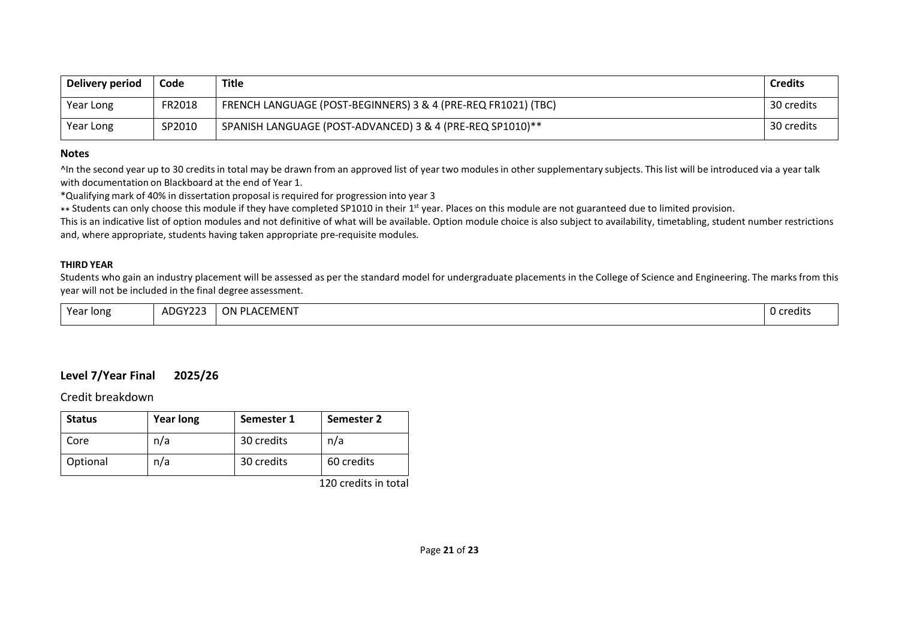| Delivery period | Code   | Title                                                         | <b>Credits</b> |
|-----------------|--------|---------------------------------------------------------------|----------------|
| Year Long       | FR2018 | FRENCH LANGUAGE (POST-BEGINNERS) 3 & 4 (PRE-REQ FR1021) (TBC) | 30 credits     |
| Year Long       | SP2010 | SPANISH LANGUAGE (POST-ADVANCED) 3 & 4 (PRE-REQ SP1010)**     | 30 credits     |

^In the second year up to 30 creditsin total may be drawn from an approved list of year two modulesin other supplementary subjects. This list will be introduced via a year talk with documentation on Blackboard at the end of Year 1.

\*Qualifying mark of 40% in dissertation proposal is required for progression into year 3

\*\* Students can only choose this module if they have completed SP1010 in their 1<sup>st</sup> year. Places on this module are not guaranteed due to limited provision.

This is an indicative list of option modules and not definitive of what will be available. Option module choice is also subject to availability, timetabling, student number restrictions and, where appropriate, students having taken appropriate pre-requisite modules.

#### **THIRD YEAR**

Students who gain an industry placement will be assessed as per the standard model for undergraduate placements in the College of Science and Engineering. The marks from this year will not be included in the final degree assessment.

| Year long | ADGY22 <sup>-</sup> | , PLACEMENT<br>ON. | O credits |
|-----------|---------------------|--------------------|-----------|
|-----------|---------------------|--------------------|-----------|

## **Level 7/Year Final 2025/26**

Credit breakdown

| <b>Status</b> | <b>Year long</b> | Semester 1 | Semester 2 |
|---------------|------------------|------------|------------|
| Core          | n/a              | 30 credits | n/a        |
| Optional      | n/a              | 30 credits | 60 credits |

120 credits in total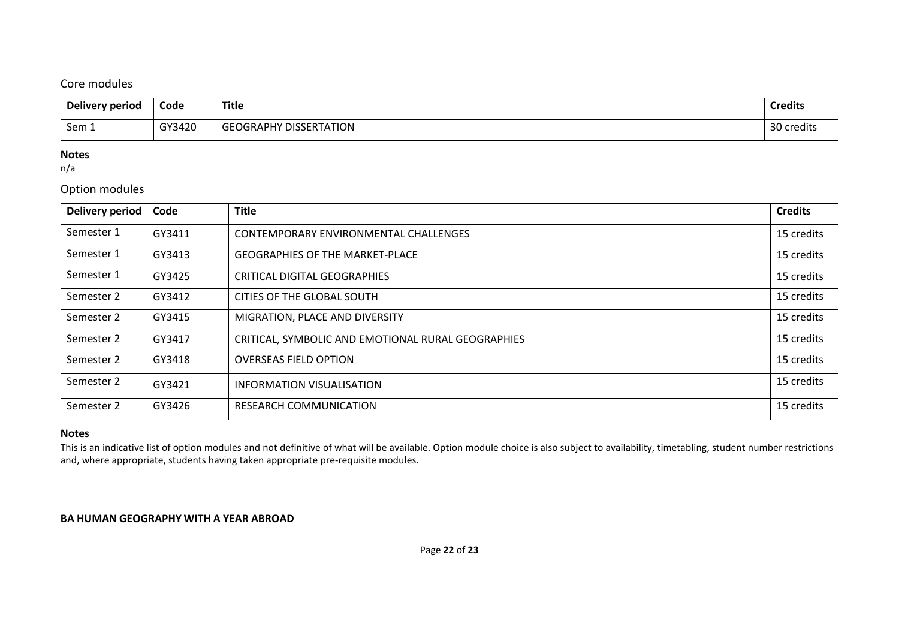## Core modules

| Delivery period | Code   | <b>Title</b>                  | <b>Credits</b> |
|-----------------|--------|-------------------------------|----------------|
| Sem 1           | GY3420 | <b>GEOGRAPHY DISSERTATION</b> | 30 credits     |

#### **Notes**

n/a

## Option modules

| Delivery period | Code   | <b>Title</b>                                       | <b>Credits</b> |
|-----------------|--------|----------------------------------------------------|----------------|
| Semester 1      | GY3411 | CONTEMPORARY ENVIRONMENTAL CHALLENGES              | 15 credits     |
| Semester 1      | GY3413 | <b>GEOGRAPHIES OF THE MARKET-PLACE</b>             | 15 credits     |
| Semester 1      | GY3425 | <b>CRITICAL DIGITAL GEOGRAPHIES</b>                | 15 credits     |
| Semester 2      | GY3412 | CITIES OF THE GLOBAL SOUTH                         | 15 credits     |
| Semester 2      | GY3415 | MIGRATION, PLACE AND DIVERSITY                     | 15 credits     |
| Semester 2      | GY3417 | CRITICAL, SYMBOLIC AND EMOTIONAL RURAL GEOGRAPHIES | 15 credits     |
| Semester 2      | GY3418 | <b>OVERSEAS FIELD OPTION</b>                       | 15 credits     |
| Semester 2      | GY3421 | INFORMATION VISUALISATION                          | 15 credits     |
| Semester 2      | GY3426 | <b>RESEARCH COMMUNICATION</b>                      | 15 credits     |

## **Notes**

This is an indicative list of option modules and not definitive of what will be available. Option module choice is also subject to availability, timetabling, student number restrictions and, where appropriate, students having taken appropriate pre-requisite modules.

#### **BA HUMAN GEOGRAPHY WITH A YEAR ABROAD**